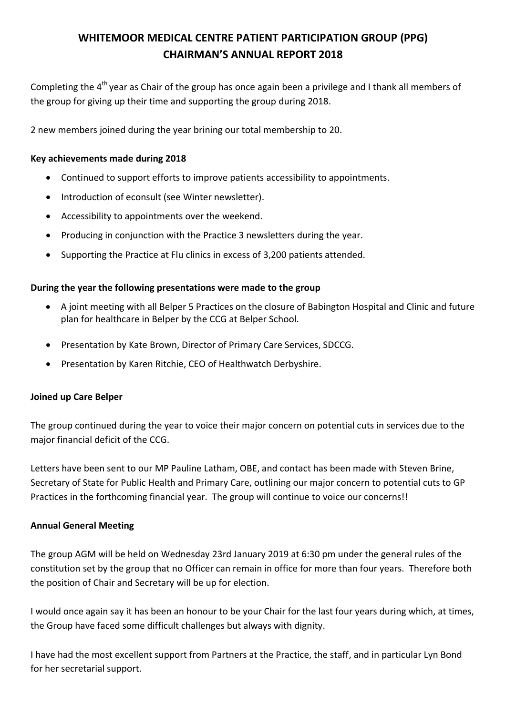# **WHITEMOOR MEDICAL CENTRE PATIENT PARTICIPATION GROUP (PPG) CHAIRMAN'S ANNUAL REPORT 2018**

Completing the 4<sup>th</sup> year as Chair of the group has once again been a privilege and I thank all members of the group for giving up their time and supporting the group during 2018.

2 new members joined during the year brining our total membership to 20.

## **Key achievements made during 2018**

- Continued to support efforts to improve patients accessibility to appointments.
- Introduction of econsult (see Winter newsletter).
- Accessibility to appointments over the weekend.
- Producing in conjunction with the Practice 3 newsletters during the year.
- Supporting the Practice at Flu clinics in excess of 3,200 patients attended.

### **During the year the following presentations were made to the group**

- A joint meeting with all Belper 5 Practices on the closure of Babington Hospital and Clinic and future plan for healthcare in Belper by the CCG at Belper School.
- Presentation by Kate Brown, Director of Primary Care Services, SDCCG.
- Presentation by Karen Ritchie, CEO of Healthwatch Derbyshire.

### **Joined up Care Belper**

The group continued during the year to voice their major concern on potential cuts in services due to the major financial deficit of the CCG.

Letters have been sent to our MP Pauline Latham, OBE, and contact has been made with Steven Brine, Secretary of State for Public Health and Primary Care, outlining our major concern to potential cuts to GP Practices in the forthcoming financial year. The group will continue to voice our concerns!!

### **Annual General Meeting**

The group AGM will be held on Wednesday 23rd January 2019 at 6:30 pm under the general rules of the constitution set by the group that no Officer can remain in office for more than four years. Therefore both the position of Chair and Secretary will be up for election.

I would once again say it has been an honour to be your Chair for the last four years during which, at times, the Group have faced some difficult challenges but always with dignity.

I have had the most excellent support from Partners at the Practice, the staff, and in particular Lyn Bond for her secretarial support.